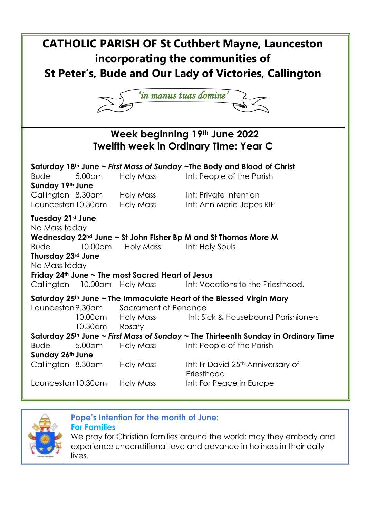



# **Pope's Intention for the month of June:**

**For Families**

We pray for Christian families around the world; may they embody and experience unconditional love and advance in holiness in their daily lives.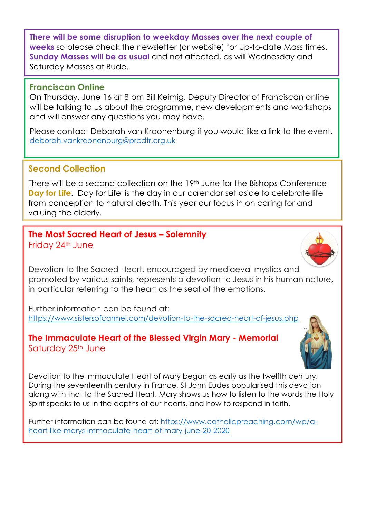**There will be some disruption to weekday Masses over the next couple of weeks** so please check the newsletter (or website) for up-to-date Mass times. **Sunday Masses will be as usual** and not affected, as will Wednesday and Saturday Masses at Bude.

#### **Franciscan Online**

On Thursday, June 16 at 8 pm Bill Keimig, Deputy Director of Franciscan online will be talking to us about the programme, new developments and workshops and will answer any questions you may have.

Please contact Deborah van Kroonenburg if you would like a link to the event. [deborah.vankroonenburg@prcdtr.org.uk](mailto:deborah.vankroonenburg@prcdtr.org.uk)

## **Second Collection**

There will be a second collection on the 19<sup>th</sup> June for the Bishops Conference **Day for Life**. Day for Life' is the day in our calendar set aside to celebrate life from conception to natural death. This year our focus in on caring for and valuing the elderly.

#### **The Most Sacred Heart of Jesus – Solemnity**  Friday 24th June

Devotion to the Sacred Heart, encouraged by mediaeval mystics and promoted by various saints, represents a devotion to Jesus in his human nature, in particular referring to the heart as the seat of the emotions.

Further information can be found at: [https://www.sistersofcarmel.com/devotion-to-the-sacred-heart-of-jesus.php](https://linkprotect.cudasvc.com/url?a=https%3a%2f%2fwww.sistersofcarmel.com%2fdevotion-to-the-sacred-heart-of-jesus.php&c=E,1,DHlw8neM_78NzfaS2c26K1L2sxp34gms_ANEOFoDLPtLb6rYSFcWnEsyn_mhjVaHRyJJtPmoqT9cry8oGOLXvezOU1SfG4o3kYFcTJcO_ettr1GsPw,,&typo=1)

#### **The Immaculate Heart of the Blessed Virgin Mary - Memorial** Saturday 25<sup>th</sup> June



Devotion to the Immaculate Heart of Mary began as early as the twelfth century. During the seventeenth century in France, St John Eudes popularised this devotion along with that to the Sacred Heart. Mary shows us how to listen to the words the Holy Spirit speaks to us in the depths of our hearts, and how to respond in faith.

Further information can be found at: [https://www.catholicpreaching.com/wp/a](https://www.catholicpreaching.com/wp/a-heart-like-marys-immaculate-heart-of-mary-june-20-2020)[heart-like-marys-immaculate-heart-of-mary-june-20-2020](https://www.catholicpreaching.com/wp/a-heart-like-marys-immaculate-heart-of-mary-june-20-2020)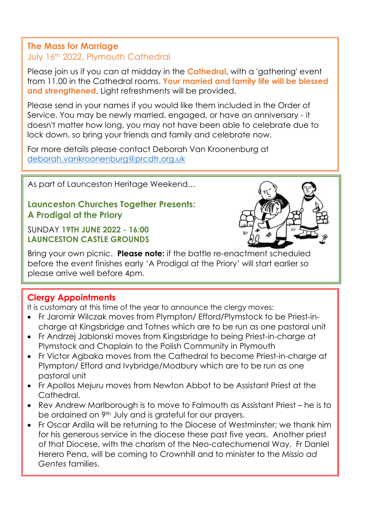# **The Mass for Marriage**

### July 16th 2022, Plymouth Cathedral

Please join us if you can at midday in the **Cathedral**, with a 'gathering' event from 11.00 in the Cathedral rooms. **Your married and family life will be blessed and strengthened**. Light refreshments will be provided.

Please send in your names if you would like them included in the Order of Service. You may be newly married, engaged, or have an anniversary - it doesn't matter how long, you may not have been able to celebrate due to lock down, so bring your friends and family and celebrate now.

For more details please contact Deborah Van Kroonenburg at [deborah.vankroonenburg@prcdtr.org.uk](mailto:deborah.vankroonenburg@prcdtr.org.uk)

As part of Launceston Heritage Weekend…

## **Launceston Churches Together Presents: A Prodigal at the Priory**

SUNDAY **19TH JUNE 2022 - 16:00 LAUNCESTON CASTLE GROUNDS**



Bring your own picnic. **Please note:** if the battle re-enactment scheduled before the event finishes early 'A Prodigal at the Priory' will start earlier so please arrive well before 4pm.

# **Clergy Appointments**

It is customary at this time of the year to announce the clergy moves:

- Fr Jaromir Wilczak moves from Plympton/ Efford/Plymstock to be Priest-incharge at Kingsbridge and Totnes which are to be run as one pastoral unit
- Fr Andrzej Jablonski moves from Kingsbridge to being Priest-in-charge at Plymstock and Chaplain to the Polish Community in Plymouth
- Fr Victor Agbaka moves from the Cathedral to become Priest-in-charge at Plympton/ Efford and Ivybridge/Modbury which are to be run as one pastoral unit
- Fr Apollos Mejuru moves from Newton Abbot to be Assistant Priest at the Cathedral.
- Rev Andrew Marlborough is to move to Falmouth as Assistant Priest he is to be ordained on 9<sup>th</sup> July and is grateful for our prayers.
- Fr Oscar Ardila will be returning to the Diocese of Westminster; we thank him for his generous service in the diocese these past five years. Another priest of that Diocese, with the charism of the Neo-catechumenal Way, Fr Daniel Herero Pena, will be coming to Crownhill and to minister to the *Missio ad Gentes* families.